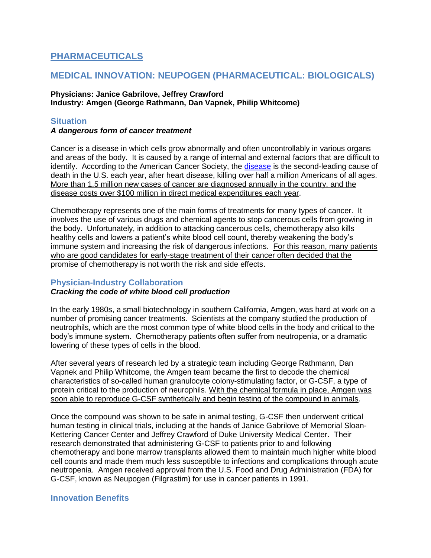# **PHARMACEUTICALS**

# **MEDICAL INNOVATION: NEUPOGEN (PHARMACEUTICAL: BIOLOGICALS)**

#### **Physicians: Janice Gabrilove, Jeffrey Crawford Industry: Amgen (George Rathmann, Dan Vapnek, Philip Whitcome)**

## **Situation**

#### *A dangerous form of cancer treatment*

Cancer is a disease in which cells grow abnormally and often uncontrollably in various organs and areas of the body. It is caused by a range of internal and external factors that are difficult to identify. According to the American Cancer Society, the [disease](http://www.cancer.org/acs/groups/content/@epidemiologysurveilance/documents/document/acspc-029771.pdf) is the second-leading cause of death in the U.S. each year, after heart disease, killing over half a million Americans of all ages. More than 1.5 million new cases of cancer are diagnosed annually in the country, and the disease costs over \$100 million in direct medical expenditures each year.

Chemotherapy represents one of the main forms of treatments for many types of cancer. It involves the use of various drugs and chemical agents to stop cancerous cells from growing in the body. Unfortunately, in addition to attacking cancerous cells, chemotherapy also kills healthy cells and lowers a patient's white blood cell count, thereby weakening the body's immune system and increasing the risk of dangerous infections. For this reason, many patients who are good candidates for early-stage treatment of their cancer often decided that the promise of chemotherapy is not worth the risk and side effects.

### **Physician-Industry Collaboration**

### *Cracking the code of white blood cell production*

In the early 1980s, a small biotechnology in southern California, Amgen, was hard at work on a number of promising cancer treatments. Scientists at the company studied the production of neutrophils, which are the most common type of white blood cells in the body and critical to the body's immune system. Chemotherapy patients often suffer from neutropenia, or a dramatic lowering of these types of cells in the blood.

After several years of research led by a strategic team including George Rathmann, Dan Vapnek and Philip Whitcome, the Amgen team became the first to decode the chemical characteristics of so-called human granulocyte colony-stimulating factor, or G-CSF, a type of protein critical to the production of neurophils. With the chemical formula in place, Amgen was soon able to reproduce G-CSF synthetically and begin testing of the compound in animals.

Once the compound was shown to be safe in animal testing, G-CSF then underwent critical human testing in clinical trials, including at the hands of Janice Gabrilove of Memorial Sloan-Kettering Cancer Center and Jeffrey Crawford of Duke University Medical Center. Their research demonstrated that administering G-CSF to patients prior to and following chemotherapy and bone marrow transplants allowed them to maintain much higher white blood cell counts and made them much less susceptible to infections and complications through acute neutropenia. Amgen received approval from the U.S. Food and Drug Administration (FDA) for G-CSF, known as Neupogen (Filgrastim) for use in cancer patients in 1991.

# **Innovation Benefits**